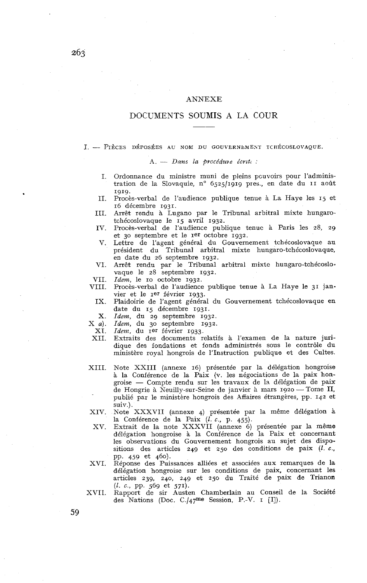## ANNEXE

# DOCUMENTS SOUMIS A LA COUR

I. - PIÈCES DÉPOSÉES AU NOM DU GOUVERNEMENT TCHÉCOSLOVAQUE.

A. - Dans la procédure écrite :

- I. Ordonnance du ministre muni de pleins pcuvoirs pour l'administration de la Slovaquie, n° 6525/1919 pres., en date du II août 1919.
- II. Procès-verbal de l'audience publique tenue à La Haye les 15 et 16 décembre 1931.
- III. Arrêt rendu à Lugano par le Tribunal arbitral mixte hungarotchécoslovaque le 15 avril 1932.
- IV. Procès-verbal de l'audience publique tenue à Paris les 28, 29 et 30 septembre et le Ier octobre 1932.
- v. Lettre de l'agent général du Gouvernement tchécoslovaque au président du Tribunal arbitral mixte hungaro-tchécoslovaque, en date du 26 septembre 1932.
- VI. Arrêt rendu par le Tribunal arbitral mixte hungaro-tchécoslo. vaque le 28 septembre 1932.
- VII. *Idem*, le 10 octobre 1932.
- VIII. Procès-verbal de l'audience publique tenue à La Haye le 31 janvier et le rer février 1933.
	- IX. Plaidoirie de l'agent général du Gouvernement tchécoslovaque en date du 15 décembre 1931.
- X. *Idem,* du 29 septembre 1932.
- X a). *Idem,* du 30 septembre 1932.
- XI. *Idem,* du Ier février 1933.
- XII. Extraits des documents relatifs à l'examen de la nature juridique des fondations et fonds administrés sous le contrôle du ministère royal hongrois de l'Instruction publique et des Cultes.
- XIII. Note XXIII (annexe 16) présentée par la délégation hongroise à la Conférence de la Paix (v. les négociations de la paix hongroise - Compte rendu sur les travaux de la délégation de paix de Hongrie à Neuilly-sur-Seine de janvier à mars 1920 - Tome II, publié par le ministère hongrois des Affaires étrangères, pp. 142 et suiv.) .
- XIV. Note XXXVII (annexe 4) présentée par la même délégation à la Conférence de la Paix  $(l. c., p. 455)$ .
- XV. Extrait de la note XXXVII (annexe 6) présentée par la même délégation hongroise à la Conférence de la Paix et concernant les observations du Gouvernement hongrois au sujet des dispositions des articles 249 et 250 des conditions de paix  $(l, c,$ PP. 459 et 460).
- XVI. Réponse des Puissances alliées et associées aux remarques de la délégation hongroise sur les conditions de paix, concernant les articles 239, 240, 249 et 250 du Traité de paix de Trianon (1. c., pp. 569 et 571).
- XVII. Rapport de sir Austen Chamberlain au Conseil de la Société des Nations (Doc. C./47me Session, P.-V. I [II).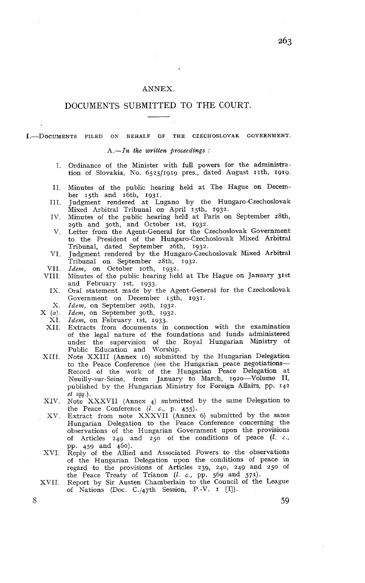## ANNEX.

# DOCUMENTS SUBMITTED TO THE COURT.

I. DOCUMENTS FILED ON BEHALF OF THE CZECHOSLOVAK GOVERNMENT.

A.-In *the* written proceedings :

- Ordinance of the Minister with full powers for the administra-I. tion of Slovakia, No. 6525/1919 pres., dated August 11th, 1919.
- II. Minutes of the public hearing held at The Hague on December 15th and 16th, 1931.
- III. Judgment rendered at Lugano by the Hungaro-Czechoslovak Mixed Arbitral Tribunal on April 15th, 1932.
- IV. Minutes of the public hearing held at Paris on September 28th, 29th and 30th, and October 1st, 1932.
- V. Letter from the Agent-General for the Czechoslovak Government to the President of the Hungaro-Czechoslovak Mixed Arbitral Tribunal, dated September 26th, 1932.
- VI. Judgment rendered by the Hungaro-Czechoslovak Mixed Arbitral Tribunal on September 28th, 1932.
- VII. Idem, on October 10th, 1932.
- VIII. Minutes of the public hearing held at The Hague on January 31st and February <sup>1st</sup>, 1933.
	- IX. Oral statement made by the Agent-General for the Czechoslovak Government on December 15th, 1931.
	- X. *Idem,* on September zgth, 1932.
- $X(a)$ . *Idem*, on September 30th, 1932.
- XI. Idem, on February 1st, 1933.
- XII. Extracts from documents in connection with the examination of the legal nature of the foundations and funds administered under the supervision of the Royal Hungarian Ministry of Public Education and Worship.
- XIII. Note XXIII (Annex 16) submitted by the Hungarian Delegation to the Peace Conference (see the Hungarian peace negotiations-Record of the work of the Hungarian Peace Delegation at Neuilly-sur-Seine, from January to March, 1920-Volume II, published by the Hungarian Ministry for Foreign Affairs, pp. 142 *et* sqq .).
- XIV. Note XXXVII (Annex 4) submitted by the same Delegation to the Peace Conference  $(l. c., p. 455)$ .
- XV. Extract from note XXXVII (Annex 6) submitted by the same Hungarian Delegation to the Peace Conference concerning the observations of the Hungarian Government upon the provisions of Articles 249 and 250 of the conditions of peace  $(l. c.,$ PP. 459 and 460).
- XVI. Reply of the Allied and Associated Powers to the observations of the Hungarian Delegation upon the conditions of peace in regard to the provisions of Articles 239, 240, 249 and 250 of the Peace Treaty of Trianon  $(l. c., pp. 569 \text{ and } 571)$ .
- XVII. Report by Sir Austen Chamberlain to the Council of the League of Nations (Doc. C./47th Session, P.-V. I [II).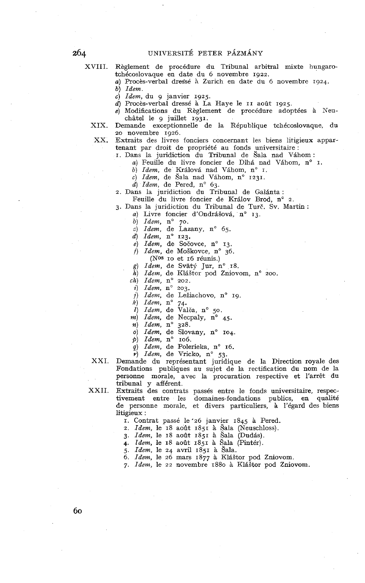XVIII. Règlement de procédure du Tribunal arbitral mixte hungarotchécoslovaque en date du 6 novembre 1922.

a) Procès-verbal dressé à Zurich en date du 6 novembre 1924. *b) Idem.* 

c) *Idem,* du g janvier 1925.

d) Procès-verbal dressé à La Haye le II août 1925.

- e) Modifications du Règlement de procédure adoptées à Xeu-
- châtel le g juillet 1931. XIX. Demande exceptionnelle de la République tchécoslovaque, du
	- 20 novembre 1926.
- 

XX. Extraits des livres fonciers concernant les biens litigieux appartenant par droit de propriété au fonds universitaire : I. Dans la juridiction du Tribunal de Sala nad Vihom :

a) Feuille du livre foncier de Dlhá nad Váhom, n° I.

b) *Idem*, de Králová nad Váhom, n° I.

c) *Idem*, de Šala nad Váhom, n° 1231.

*d) Idem, de Pered, n° 63.* 

- 2. Dans la juridiction du Tribunal de Galánta :
- Feuille du livre foncier de Králov Brod, nº 2.
- 3. Dans la juridiction du Tribunal de Turč. Sv. Martin :
	- a) Livre foncier d'Ondrášová, n° 13.
		- b) *Idem*, n° 70.

c)  $Idem$ , de Lazany, n° 65.

- d) *Idem,* no 123.
- *e*) *Idem*, de Sočovce, n° 13.
- $f$ ) *Idem*, de Moškovce, n° 36.
- (Nos IO et 16 réunis.)
- g) *Idem*, de Svätý Jur, n° 18.
- h) *Idem*, de Kláštor pod Zniovom, n° 200.
- $ch)$  *Idem*,  $n^{\circ}$  202.
- *i*) *Idem*,  $n^{\circ}$  203.
- j) *Idem*, de Ležiachovo, n° 19.
- h) *Idem,* no 74.
- $\hat{i}$ ) *Idem*, de Valča, n° 50.
- $m)$  *Idem*, de Necpaly,  $n^{\circ}$  45.
- **n)** *Idem, no* 328.
- o) *Idem*, de Slovany, n° 104.
- *p*) *Idem*,  $n^{\circ}$  106.
- *q) Idem,* de Polerieka, nº 16.
- $\vec{r}$ ) *Idem*, de Vricko, n° 53.

XXI. Demande du représentant juridique de la Direction royale des Fondations publiques au sujet de la rectification du nom de la personne morale, avec la procuration respective et l'arrêt du tribunal y afférent.

XXII. Extraits des contrats passés entre le fonds universitaire, respectivement entre les domaines-fondations publics, en qualité de personne morale, et divers particuliers, à l'égard des biens litigieux :

I. Contrat passé le\*26 janvier 1845 à Pered.

2. *Idem,* le 18 août 1851 à gala (Neuschloss).

3. *Idem,* le 18 août 1851 à Sala (Dudis).

4. *idem,* le *18* août 1851 à gala (Pintér).

5. *Idem,* le 24 avril 1851 à Sala.

6. *Idem*, le 26 mars 1877 à Kláštor pod Zniovom.

7. Idem, le 22 novembre 1880 à Kláštor pod Zniovom.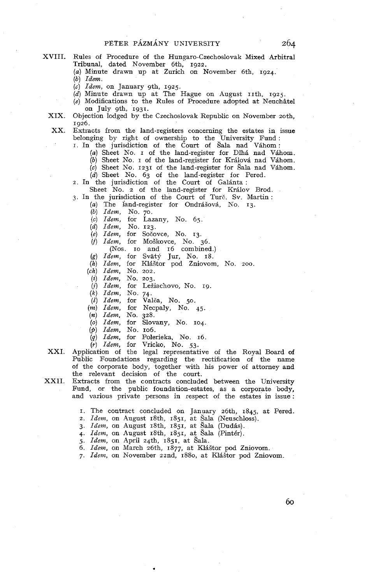- XVIII. Rules of Procedure of the Hungaro-Czechoslovak Mixed Arbitral Tribunal, dated November 6th, 1922.
	- (a) Minute drawn up at Zurich on November 6th, 1924.

(b) Idem.

- 
- (c) *Idem*, on January 9th, 1925.<br>(d) Minute drawn up at The Hague on August 11th, 1925.
- (e) Modifications to the Rules of Procedure adopted at Neuchâtel on July gth, 1931.
- XIX. Objection lodged by the Czechoslovak Republic on November zoth, 1926.

XX. Extracts from the land-registers concerning the estates in issue belonging by right of ownership to the University Fund :

I. In the jurisdiction of the Court of Sala nad Vihom :

- (a) Sheet No. I of the land-register for Dlhi nad Vahom.
- (b) Sheet No. *I* of the land-register for Králová nad Váhom.
- (c) Sheet No. 1231 of the land-register for Sala nad Vahom.
- (d) Sheet No. 63 of the land-register for Pered. 2. In the jurisdiction of the Court of Galinta :
- 

Sheet No. 2 of the land-register for Králov Brod.<br>3. In the jurisdiction of the Court of Ture. Sv. Martin :

- - (a) The land-register for Ondrášová, No.  $13$ .
		- $(b)$  *Idem*, No. 70.
		- $(c)$  *Idem*, for Lazany, No.  $65$ .
		- (d) *Idem*, No. 123.
		- $(e)$  *Idem*, for Socovce, No. 13.
		- (f) Idem, for Moškovce, No. 36.
			- (Nos. IO and 16 combined.)
		- (g) Idem, for Svaty Jur, No. 18.
		- (h) Idem, for Kláštor pod Zniovom, No. 200.
	- *(ch)* Idem, No. 202.
		- **(2)** Idem, No. 203.
		- $(i)$  *Idem*, for Ležiachovo, No. 19.
	- $(k)$  *Idem*, No. 74.
	- $(l)$  *Idem*, for Valča, No. 50.
	- (*m*) *Idem*, for Necpaly, No. 45.
	- (*n*) *Idem*, No. 328.
	- **(O)** Idem, for Slovany, No. 104.
	- *(p)* Idem, No. 106.
	- $(q)$  *Idem*, for Polerieka, No. 16.
	- **(Y)** Idem, for Vricko, No. 53.
- XXI. Application of the legal representative of the Royal Board of Public Foundations regarding the rectification of the name of the corporate body, together with his power of attorney and the relevant decision of the court.
- XXII. Extracts from the contracts concluded between the University Fund, or the public foundation-estates, as a corporate body, and various private persons in respect of the estates in issue :
	- I. The contract concluded on January 26th, 1845, at Pered.
	- 2. Idem, on August 18th, 1851, at Sala (Neuschloss).
	- 3. Idem, on August 18th,  $1851$ , at Sala (Dudás).
	- 4. Idem, on August 18th, 1851, at Sala (Pintér).
	- 5. Idem, on April 24th, 1851, at Šala.
	- 6. Idem, on March 26th, 1877, at Kláštor pod Zniovom.
	- 7. Idem, on November 22nd, 1880, at Kláštor pod Zniovom.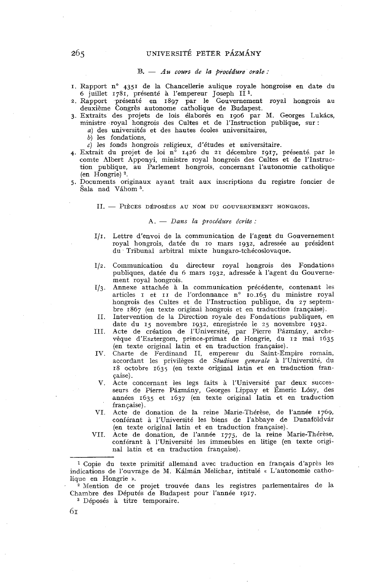UNIVERSITÉ PETER PÁZMÁNY<br>B. - Au cours de la procédure orale :

- I. Rapport n<sup>o</sup> 4351 de la Chancellerie aulique royale hongroise en date du 6 juillet 1781, présenté à l'empereur Joseph II<sup>1</sup>.
- 2. Rapport présenté en 1897 par le Gouvernement royal hongrois au deuxième Congrès autonome catholique de Budapest.
- 3. Extraits des projets de lois élaborés en 1906 par M. Georges Lukács, ministre royal hongrois des Cultes et de l'Instruction publique, sur :
	- a) des universités et des hautes écoles universitaires,
	- b) les fondations,
	- c) les fonds hongrois religieux, d'études et universitaire.
- 4. Extrait du projet de loi nº 1426 du 21 décembre 1917, présenté par le comte Albert Apponyi, ministre royal hongrois des Cultes et de l'Instruction publique, au Parlement hongrois, concernant l'autonomie catholique (en Hongrie) **2.**
- 5. Documents originaux ayant trait aux inscriptions du registre foncier de Šala nad Váhom<sup>3</sup>.

II. - PIÈCES DÉPOSÉES AU NOM DU GOUVERNEMENT HONGROIS.

### A. - Dans la procédure écrite :

- 111. Lettre d'envoi de la communication de l'agent du Gouvernement royal hongrois, datée du IO mars 1932. adressée au président du Tribunal arbitral mixte hungaro-tchécoslovaque.
- Communication du directeur royal hongrois des Fondations  $I/z$ . publiques, datée du *6* mars 1932, adressée à l'agent du Gouvernement royal hongrois.
- $I/3$ . Annexe attachée à la communication précédente, contenant les articles i et ii de l'ordonnance n° 10.165 du ministre royal hongrois des Cultes et de l'Instruction publique, du 27 septembre 1867 (en texte original hongrois et en traduction française).
- II. Intervention de la Direction royale des Fondations publiques, en date du 15 novembre 1932, enregistrée le 25 novembre 1932.
- III. Acte de création de l'Université, par Pierre Pázmány, archevêque d'Esztergom, prince-primat de Hongrie, du 12 mai 1635 (en texte original latin et en traduction française).
- IV. Charte de Ferdinand II, emperenr du Saint-Empire romain, accordant les privilèges de Studium generale à l'Université, du 18 octobre 1635 (en texte original latin et en traduction française).
- V. Acte concernant les legs faits à l'Université par deux successeurs de Pierre Pázmány, Georges Lippay et Émeric Lósy, des années 1635 et 1637 (en texte original latin et en traduction française).
- VI. Acte de donation de la reine Marie-Thérèse, de l'année 1769, conférant à l'Université les biens de l'abbaye de Dunaföldvár (en texte original latin et en traduction française).
- VII. Acte de donation, de l'année 1775, de la reine Marie-Thérèse, conférant à l'Université les immeubles en litige (en texte original latin et en traduction française).

<sup>1</sup> Copie du texte primitif allemand avec traduction en français d'après les indications de l'ouvrage de M. Kálmán Melichar, intitulé « L'autonomie catholique en Hongrie ».

<sup>2</sup> Mention de ce projet trouvée dans les registres parlementaires de la Chambre des Députés de Budapest pour l'année 1917.

Déposés à titre temporaire.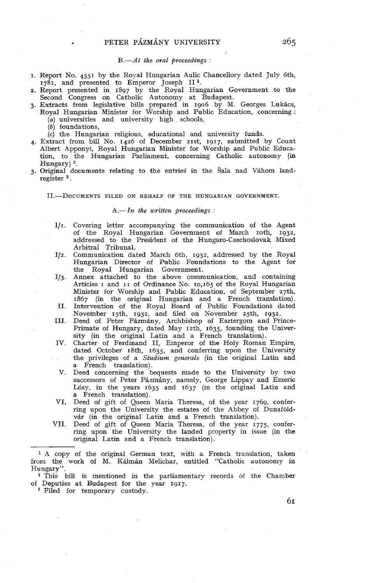$B$ — $At$  the oral proceedings:

- I. Report No. 4351 by the Royal Hungarian Aulic Chancellory dated July 6th, 1781, and presented to Emperor Joseph II<sup>1</sup>.
- 2. Report presented in 1897 by the Royal Hungarian Government to the Second Congress on Catholic Autonomy at Budapest.
- 3. Extracts from legislative bills prepared in 1906 by M. Georges Lukics, Royal Hungarian Minister for Worship and Public Education, concerning : (a) universities and university high schools,
	-
	- (b) foundations,

(c) the Hungarian religious, educational and university funds.

- 4. Extract from bill No. 1426 of December 21st, 1917, submitted by Count Albert Apponyi, Royal Hungarian Minister for Worship and Public Education, to the Hungarian Parliament, concerning Catholic autonomy (in Hungary) **2.**
- 5. Original documents relating to the entries in the Sala nad Vahom landregister **3.**

II.-DOCUMENTS FILED ON BEHALF OF THE HUNGARIAN GOVERNMENT.

## $A$ .-In the written proceedings :

- $I/I$ . Covering letter accompanying the communication of the Agent of the Royal Hungarian Government of March roth, 1932, addressed to the President of the Hungaro-Czechoslovak Mixed Arbitral Tribunal.
- Communication dated March 6th, 1933, addressed by the Royal  $I/2$ . Hungarian Director of Public Foundations to the Agent for the Royal Hungarian Government.
- Annex attached to the above communication, and containing I/3. Articles I and II of Ordinance No. 10,165 of the Royal Hungarian Minister for Worship and Public Education, of September 27th, 1867 (in the original Hungarian and a French translation).
- II. Intervention of the Royal Board of Public Foundations dated November 15th, 1932. and filed on November 25th. 1932.
- III. Deed of Peter Pázmány, Archbishop of Esztergom and Prince-Primate of Hungary, dated May 12th, 1635, founding the University (in the original Latin and a French translation).
- IV. Charter of Ferdinand II, Emperor of the Holy Roman Empire, dated October 18th, 1635, and conferring upon the University the privileges of a Studium generale (in the original Latin and a French translation).
- V. Deed concerning the bequests made to the University by two successors of Peter Pázmány, namely, George Lippay and Emeric Losy, in the years 1635 and 1637 (in the original Latin and a French translation).
- VI. Deed of gift of Queen Maria Theresa, of the year 1769, conferring upon the University the estates of the Abbey of Dunafoldvar (in the original Latin and a French translation).
- VII. Deed of gift of Queen Maria Theresa, of the year 1775, conferring upon the University the landed property in issue (in the original Latin and a French translation).

**<sup>1</sup>**A copy of the original German text, with a French translation, taken from the work of M. Kalman Melichar, entitled "Catholic autonomy in Hungary".

<sup>2</sup> This bill is mentioned in the parliamentary records of the Chamber of Deputies at Budapest for the year 1917.

<sup>8</sup> Filed for temporary custody.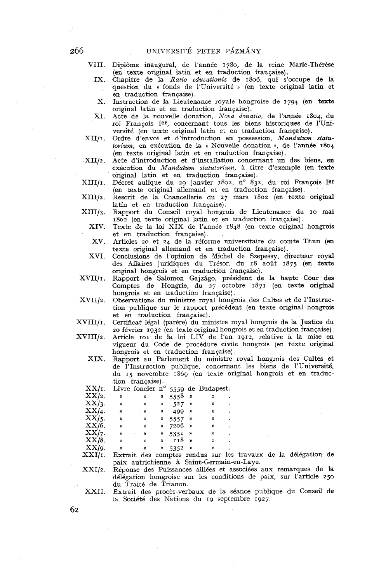VIII. Diplôme inaugural, de l'année 1780, de la reine Marie-Thérèse (en texte original latin et en traduction française).

- IX. Chapitre de la *Ratio educationis* de 1806, qui s'occupe de la question du « fonds de l'Université » (en texte original latin et en traduction française).
- X. Instruction de la Lieutenance royale hongroise de 1794 (en texte original latin et en traduction française).
- XI. Acte de la nouvelle donation, Nova donatio, de l'année 1804, du roi François Ier, concernant tous les biens historiques de l'Université (en texte original latin et en traduction française).
- XII/I. Ordre d'envoi et d'introduction en possession, *Mandatum statutwiurn,* en exécution de la « Nouvelle donation », de l'année 1804 (en texte original latin et en traduction française).
- Acte d'introduction et d'installation concernant un des biens, en  $XII/2.$ exécution du *Mandaturn statutorium,* à titre d'exemple (en texte original latin et en traduction française).
- XIII/l. Décret aulique du 29 janvier 1802, n° 832, du roi François Ier (en texte original allemand et en traduction française).
- $XIII/2$ . Rescrit de la Chancellerie du 27 mars 1802 (en texte original latin et en traduction française).
- $XIII/3.$ Rapport du Conseil royal hongrois de Lieutenance du IO mai 1802 (en texte original latin et en traduction française).
	- XIV. Texte de la loi XIX de l'année 1845 (en texte original hongrois et en traduction française).
	- xv. Articles 20 et 24 de la réforme universitaire du comte Thun (en texte original allemand et en traduction française).
	- XVI. Conclusions de l'opinion de Michel de Szepessy, directeur royal des Affaires juridiques du Trésor, du 18 août 1875 (en texte original hongrois et en traduction française).
- XVII/1. Rapport de Salomon Gajzago, président de la haute Cour des Comptes de Hongrie, du 27 octobre 1871 (en texte original hongrois et en traduction française).
- Observations du ministre royal hongrois des Cultes et de 1'Instmc- $XVII/2.$ tion publique sur le rapport précédent (en texte original hongrois et en traduction française).
- $XVIII/I.$ Certificat légal (parére) du ministre royal hongrois de la Justice du 20 février 1932 (en texte original hongrois et en traduction française).
- $XVIII/2.$ Article IOI de la loi LIV de l'an 1912, relative à la mise en vigueur du Code de procédure civile hongrois (en texte original hongrois et en traduction française).

XIX. Rapport au Parlement du ministre royal hongrois des Cultes et de 1'Instruction publique, concernant les biens de l'Université, du 15 novembre 1869 (en texte original hongrois et en traduction française).

| XX/1.    |               |               |           |                    |               | Livre foncier n° 5559 de Budapest. |  |
|----------|---------------|---------------|-----------|--------------------|---------------|------------------------------------|--|
| $XX/2$ . | ᠉             | $\mathcal{V}$ | y)        | 5558 $\frac{1}{2}$ |               | ))                                 |  |
| $XX/3$ . | ))            | ))            | ))        | $527$ $*$          |               | ))                                 |  |
| $XX/4$ . | $\mathfrak p$ | D             | ))        | $499$ »            |               | »                                  |  |
| $XX/5$ . | D             | ))            | <b>))</b> | $5557$ »           |               | ))                                 |  |
| XX/6.    | ))            | ))            |           | 7206 »             |               | »                                  |  |
| XX/7.    | ))            | »             | »         | $535I$ »           |               | >>                                 |  |
| $XX/8$ . | ))            | ))            | y)        | 118                | $\rightarrow$ | $\mathcal{V}$                      |  |
| XX/g.    | X)            | ்ற            | ν,        | 5352               | $\rightarrow$ | »                                  |  |
| ******   |               |               |           |                    |               |                                    |  |

Extrait des comptes rendus sur les travaux de la délégation de XXI/1. paix autrichienne à Saint-Germain-en-Laye.

 $XXI/2.$ 

Réponse des Puissances alliées et associées aux remarques de la délégation hongroise sur les conditions de paix, sur l'article 250 du Traité de Trianon.

XXII. Extrait des procès-verbaux de la séance publique du Conseil de la Société des Nations du 19 septembre 1927.

266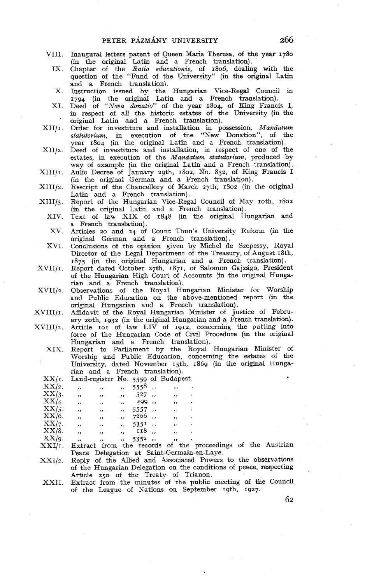- VIII. Inaugural letters patent of Queen Maria Theresa, of the year 1780 (in the original Latin and a French translation).
	- IX. Chapter of the *Ratio educationis,* of 1806, dealing with the question of the "Fund of the University" (in the original Latin and a French translation).
	- X. Instruction issued by the Hungarian Vice-Regal Council in 1794 (in the original Latin and a French translation).
	- XI. Deed of *"Nova donatio"* of the year 1804, of King Francis 1, in respect of al1 the historic estates of the University (in the original Latin and a French translation).
- $XII/I$ . Order for investiture and installation in possession, *Mandatum statutorium,* in execution of the "New Donation", of the year 1804 (in the original Latin and a French translation).
- Deed of investiture and installation, in respect of one of the estates, in execution of the *Mandatum statutorium,* produced by way of example (in the original Latin and a French translation).
- Aulic Decree of January 29th, 1802, No. 832, of King Francis 1 (in the original German and a French translation).  $XIII/I.$
- $XIII/z.$ Rescript of the Chancellory of March 27th, 1802 (in the original Latin and a French translation).
- $XIII/3.$ Report of the Hungarian Vice-Regal Council of May 10th, 1802 (in the original Latin and a French translation).
	- XIV. Text of law XIX of 1848 (in the original Hungarian and a French translation).
		- xv. Articles 20 and 24 of Count Thun's University Reform (in the original German and a French translation).
	- XVI. Conclusions of the opinion given by Michel de Szepessy, Royal Director of the Legal Department of the Treasury, of August 18th, 1875 (in the original Hungarian and a French translation).
- $XVIII/I.$ Report dated October 27th, 1871, of Salomon Gajzágo, President of the Hungarian High Court of Accounts (in the original Hungarian and a French translation).
- Observations of the Royal Hungarian Minister for Worship and Public Education on the above-mentioned report (in the original Hungarian and a French translation).
- Affidavit of the Royal Hungarian Minister of Justice of February zoth, 1932 (in the original Hungarian and a French translation).
- $XVIII/2.$ Article IOI of law LIV of 1912, concerning the putting into
	- force of the Hungarian Code of Civil Procedure (in the original Hungarian and a French translation).
	- XIX. Report to Parliament by the Royal Hungarian Minister of Worship and Public Education, concerning the estates of the University, dated November 15th, 1869 (in the original Hungarian and a French translation). . . . . .

| $XX/I$ .    | Land-register No. 5559 of Budapest. |          |                          |                 |    |   |
|-------------|-------------------------------------|----------|--------------------------|-----------------|----|---|
| XX/2.       | ,,                                  | ,,       | $\cdot$                  | 5558            | ,, |   |
| $XX/3$ .    | ,,                                  | $\cdots$ | $\overline{\phantom{a}}$ | 527,,           | ,, | ٠ |
| $XX/4$ .    | ,,                                  | $, \,$   | $, \,$                   | 499 ,,          | ,, |   |
| $XX/5$ .    | ,,                                  | $, \,$   | $, \,$                   | $5557$ ,        | ,, |   |
| $XX/6$ .    | ,,                                  | ,,       | ,,                       | 7206,           | ,, | ٠ |
| XX/7.       | $^{\prime}$                         | ,,       | ,,                       | $535^{\circ}$ , | ,, | ٠ |
| $XX/8$ .    | ,,                                  | ,,       |                          | ,, 118,         | ,, |   |
| $XX/\alpha$ |                                     |          |                          | 5352            |    |   |

- **1,** <sup>5352</sup>>. ,, . Extract from the records of the proceedings of the Austrian Peace Delegation at Saint-Germain-en-Laye.
- Reply of the Allied and hssociated Powers to the observations  $XXI/2.$ of the Hungarian Delegation on the conditions of peace, respecting Article 250 of the Treaty of Trianon.
- XXII. Extract from the minutes of the public meeting of the Council of the League of Nations on September 19th, 1927.

266

- 
-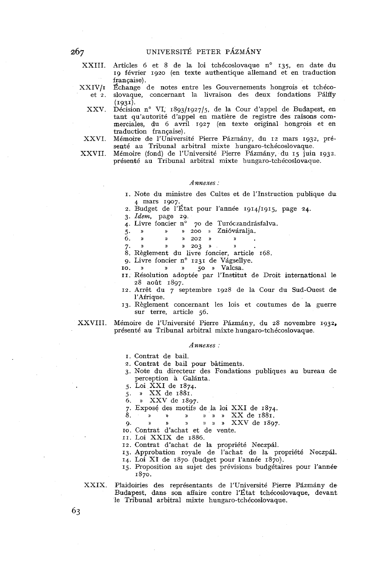XXIII. Articles 6 et 8 de la loi tchécoslovaque n° 135, en date du 19 février 1920 (en texte authentique allemand et en traduction française).

XXIV/I Échange de notes entre les Gouvernements hongrois et tchécoet 2. slovaque, concernant la livraison des deux fondations Pilffy

- (1931). XXV. Décision n° VI, 1893/1927/5, de la Cour d'appel de Budapest, en tant qu'autorité d'appel en matière de registre des raisons commerciales, du 6 avril 1927 (en texte original hongrois et en traduction française).
- XXVI. Mémoire de l'Université Pierre Pázmány, du 12 mars 1932, présenté au Tribunal arbitral mixte hungaro-tchécoslovaque.

XXVII. Mémoire (fond) de l'université Pierre Pazmany, du 15 juin 1932. présenté au Tribunal arbitral mixte hungaro-tchécoslovaque.

#### *Annexes* :

- I. Note du ministre des Cultes et de l'Instruction publique du **4** mars 1907.
- 2. Budget de l'État pour l'année 1g1411g15, page 24.
- 3. *Idem,* page zg.

70 de Turóczandrásfalva.

5. » » » 200 » Znióváralja.<br>6. » » » 202 » » .

- 
- 

7.  $\gamma$   $\gamma$   $\gamma$   $\gamma$   $\gamma$   $\gamma$  203  $\gamma$   $\gamma$   $\gamma$   $\gamma$  .

- 9. Livre foncier n° 1231 de Vágsellye.
- **10.** *n n n n 50* **<b>***n* **Valcsa.**
- II. Résolution adoptée par l'Institut de Droit international le 28 août 1897.
- 12. Arrêt du 7 septembre 1928 de la Cour du Sud-Ouest de l'Afrique.
- 13. Règlement concernant les lois et coutumes de la guerre sur terre, article 56.

XXVIII. Mémoire de l'Université Pierre Pázmány, du 28 novembre 1932, présenté au Tribunal arbitral mixte hungaro-tchécoslovaque.

#### *Annexes* :

I. Contrat de bail.

- 2. Contrat de bail pour bâtiments.
- 3. Note du directeur des Fondations publiques au bureau de perception à Galanta.
- 5. Loi XXI de 1874.
- 5. )) xxde 1881.
- 6. a XXV de 1897.
- 

7. Exposé des motifs de la loi XXI de 1874. 8. I) **D** )I a » xx de 1881. g. » » 11 » **1)** » XXV de 1897.

IO. Contrat d'achat et de vente.

II. Loi XXIX de 1886.

12. Contrat d'achat de la propriété Neczpal.

13. Approbation royale de l'achat de la propriété Neczpal.

14. Loi XI de 1870 (budget pour l'année 1870).

15. Proposition au sujet des prévisions budgétaires pour l'année 1870.

XXIX. Plaidoiries des représentants de l'Université Pierre Pázmány de Budapest, dans son affaire contre l'État tchécoslovaque, devant le Tribunal arbitral mixte hungaro-tchécoslovaque.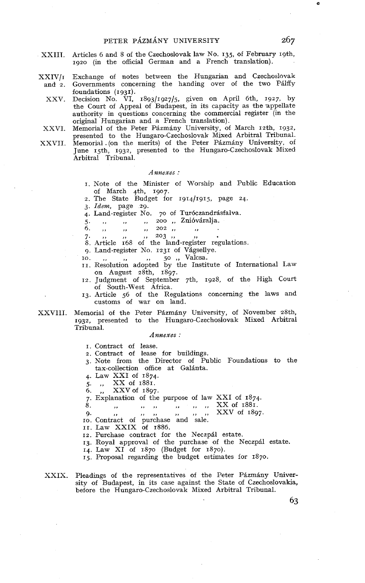- XXIII. Articles 6 and 8 of the Czechoslovak law No. 135, of February 19th, 1920 (in the officia1 German and a French translation).
- XXIV/r Exchange of notes between the Hungarian and Czechoslovak and 2. Governments concerning the handing over of the two Palffy foundations (1931).
	- XXV. Decision No. VI, 1893/1927/5, given on April 6th, 1927, by the Court of Appeal of Budapest, in its capacity as the appellate authority in questions concerning the commercial register (in the original Hungarian and **a** French translation).

XXVI. Memorial of the Peter Pázmány University, of March 12th, 1932.

presented to the Hungaro-Czechoslovak Mixed Arbitral Tribunal. XXVII. Memorial. (on the merits) of the Peter Pázmány University, of June rgth, 1932, presented to the Hungaro-Czechoslovak Mixed Arbitral Tribunal.

#### *Annexes* :

- 1. Note of the Minister of Worship and Public Education of March 4th, 1907.
- 2. The State Budget for 1914/1915, page 24.
- **3.** Idem, page 29.
- 4. Land-register No. 70 of Turóczandrásfalva.
- 5. **.. .. .. 200 .. 2nióváralja**.<br>6. **.. .. .. .. 202 .. .. .** 
	- **6.** (*i*)  $\frac{1}{10}$  ,,  $\frac{1}{10}$  ,,  $\frac{202}{10}$ ,
	-

 $7.$ , ,, ,, ,,  $202$ , ,, ,, .<br>  $7.$ , ,, ,,  $203$ , ,, ., .<br>
8. Article 168 of the land-register regulations.

- 9. Land-register No. 1231 of Vágsellye.
- 
- 10. ,, ,, ,, 50 ,, Valcsa. II. Resolution adopted by tlie Institute of Internationdl Law on August 28th, 1897.
- 12. Judgment of September 7th, 1928, of the High Court of South-West Africa.
- 13. Article 56 of the Regulations concerning the laws and customs of war on land.
- XXVIII. Memorial of the Peter Pázmány University, of November 28th, 1932, presented to the Hungaro-Czechoslovak Mixed Arbitral Tribunal.

#### *Annexes* :

I. Contract of lease.

- 2. Contract of lease for buildings.
- **3.** Note from the Director of Public Foundations to the tax-collection office at Galinta.
- 4. Law XXI of 1874.
- 5. ,, XX of 1881.
- 6. ,, XXVof 1897.
- 7. Explanation of the purpose of law XXI of 1874.
- 8. ,, ,, ,, ,, ,, ,,  $\frac{XX}{Y}$  of 1881.

9. ,, **9.** ,, ,, ,, XXVof 1895 IO. Contract of purchase and sale.

**II.** Law XXIX of 1886.

12. Purchase contract for the Neczpil estate.

13. Royal approval of the purchase of the Neczpal estate.

14. Law XI of 1870 (Budget for 1870).

15. Proposa1 regarding the budget estimates for 1870.

XXIX. Pleadings of the representatives of the Peter Pázmány University of Budapest, in its case against the State of Czechoslovakia, before the Hungaro-Czechoslovak Mixed Arbitral Tribunal.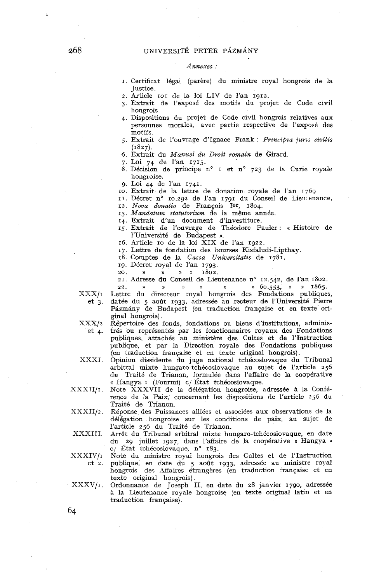# UNIVERSITÉ PETER PÁZMÁNY

# *Annexes* :

- **1.** Certificat légal (parère) du ministre royal hongrois de la Justice.
- 2. Article IOI de la loi LIV de l'an 1912.
- 3. Extrait de l'exposé des motifs du projet de Code civil hongrois.
- **4.** Dispositions du projet de Code civil hongrois relatives aux personnes morales, avec partie respective de l'exposé des motifs.
- 5. Extrait de l'ouvrage d'Ignace Frank : *Principia juris civilis* (1827).
- (1827). 6. Extrait du *Manuel du Droit romain* de Girard.
- 7. Loi 74 de l'an 1715.
- 8. Décision de principe n° I et n° 723 de la Curie royale hongroise.
- 9. Loi 44 de l'an 1741.
- IO. Extrait de la lettre de donation royale de l'an 7769
- II. Décret n° 10.292 de l'an 1791 du Conseil de Lieutenance.

sz. *Nova donatio* de François Ier, 1804.

- 13. *Mandatum statutorium* de la même année.
- 14. Extrait d'un document d'investiture.
- 15. Extrait de l'ouvrage de Théodore Pauler : « Histoire de l'Université de Budapest ».
- 16. Article IO de la loi XIX de l'an 1922.
- 17. Lettie de fondation des bourses Kisfaludi-Lipthay.
- 18. Comptes de la *Cassa Universitatis* de 1781.
- 19. Décret royal de l'an 1793.
- 20. **s** » )) **a** 1802.
- 21. Adresse du Conseil de Lieutenance n° 12.542, de l'an 1802.

22. » )) » **)I )I »** 60.553, **<sup>a</sup>u** 1865. Lettre du directeur royal hongrois des Fondations publiques,

 $XXX/t$  $et 3.$ 

datée du 5 août 1933, adressée au recteur de l'Université Pierre Pázmány de Budapest (en traduction française et en texte original hongrois).  $\bold{XXX}/2$ Répertoire des fonds, fondations ou biens d'institutions, administrés ou représentés par les fonctionnaites royaux des Fondations  $et$  4. publiques, attachés au ministére des Cultes et de l'Instruction

publique, et par la Direction royale des Fondations publiques

XXXI. (en traduction française et en texte original hongrois). Opinion dissidente du juge national tchécoslovaque du Tribunal

arbitral mixte hungaro-tchécoslovaque au sujet de l'article 256 du Traité de Trianon, formulée dans l'affaire de la coopérative

XXXII/I.

Note XXXVII de la délégation hongroise, adressée à la Conférence de la Paix, concernant les dispositions de l'article 256 du Traité de Trianon.

« Hangya » (Fourmi) c/ État tchécoslovaque.

- $\rm XXXII/2.$ Réponse des Puissances alliées et associées aux observations de la délégation hongroise sur les conditions de paix, au sujet de l'article 256 du Traité de Trianon.
- XXXIII. Arrêt du Tribunal arbitral mixte hungaro-tchécoslovaque, en date du 29 juillet 1927, dans l'affaire de la coopérative « Hangya )) c/ État tchécoslovaque, n°  $183$ .
- $\text{XXXIV}/\text{i}$ Note du ministre royal hongrois des Cultes et de l'Instruction publique, en date du 5 août 1933, adressée au ministre royal  $et 2.$ hongrois des Affaires étrangères (en traduction française et en texte original hongrois).
- Ordonnance de Joseph II, en date du 28 janvier 1790, adressée  $\cdot$  XXXV/1. à la Lieutenance royale hongroise (en texte original latin et en traduction française).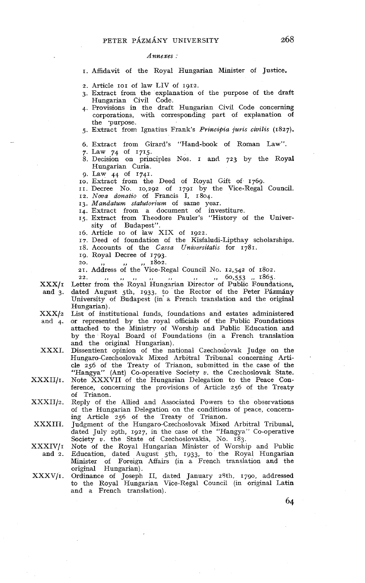#### *Annexes* :

I. Affidavit of the Royal Hungarian Minister of Justice.

- 2. Article IOI of law LIV of 1912.
- 3. Extract from the explanation of the purpose of the draft Hungarian Civil Code.
- 4. Provisions in the draft Hungarian Civil Code concerning corporations, with corresponding part of explanation of the 'purpose.
- 5. Extract from Ignatius Frank's *Principia juris civilis* (1827).
- 6. Extract from Girard's "Hand-book of Roman Law".
- 7. Law 74 of 1715.
- 8. Decision on principles Nos. I and 723 by the Royal Hungarian Curia.
- g. Law 41 of 1741.
- IO. Extract from the Deed of RoyaI Gift of. 1769.
- II. Decree No. 10,292 of 1791 by the Vice-Regal Council.
- 12. *Noua donatio* of Francis **1,** 1804.
- 13. *Mandatum statutorium* of same year.
- 14. Extract from a document of investiture. 15. Extract from Theodore Pauler's "History of the University of Budapest".
- 16. Article IO of law XIX of 1922.
- 17. Deed of foundation of the Kisfaludi-Lipthay scholarships.
- 18. Accounts of the *Cassa Universitatis* for 1781.
- 
- 19. Royal Decree of 1793.<br>20. ,, ,, ,, ,, 1802.

21. Address of the Vice-Regal Council No. 12,542 of 1802.

 $\mathbf{XXX}/\mathbf{I}$ 22. ,, ,, ,, ,, ,, ,, ,, 60,553 ,, 1865. Letter from the Royal Hungarian Director of Public Foundations,

- and 3. XXX/2 Hungarian) . List of institutional funds, foundations and estates administered dated August 5th, 1933, to the Rector of the Peter Pázmány University of Budapest (in a French translation and the original
- and 4. or represented by the royal officials of the Public Foundations attached to the Ministrv of Worship and Public Education and by the Royal Board of Foundations (in a French translation
- XXXI. Dissentient opinion of the national Czechoslovak Judge on the Hungaro-Czechoslovak Mixed Arbitral Tribunal concerning Article 256 of the Treaty of Trianon, submitted in the case of the "Hangya" (Ant) Co-operative Society  $v$ . the Czechoslovak State.
- Note XXXVII of the Hungarian Delegation to the Peace Con- $\text{XXXII}/\text{i}$ . ference, concerning the provisions of Article 256 of the Treaty of Trianon.
- $\text{XXXII}/2.$ Reply of the Allied and Associated Powers to the observations of the Hungarian Delegation on the conditions of peace, concerning Article 256 of the Treaty of Trianon.
- XXXIII. Judgment of the Hungaro-Czechoslovak Mixed Arbitral Tribunal, dated July zgth, 1927, in the case of the "Hangya." Co-operative Society v. the State of Czechoslovakia, No. 183.
- XXXIV/I Note of the Royal Hungarian Minister of Worship and Public and 2. Education, dated August sth, 1933, to the Royal Hungarian Minister of Foreign Affairs (in a French translation and the
- XXXV/1. Ordinance of Joseph II, dated January 28th, 1790, addressed to the Royal Hungarian Vice-Regal Council (in original Latin and a French translation).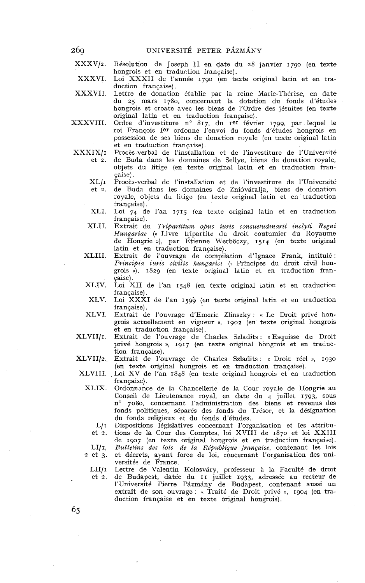xxxv/2. Résolution de Joseph II en date du 28 janvier 1790 (en texte hongrois et en traduction française).

XXXVI. Loi XXXII de l'année 1790 (en texte original latin et en traduction française).

XXXVII. Lettre de donation établie par la reine Marie-Thérèse, en date du 25 mars 1780, concernant la dotation du fonds d'études hongrois et croate avec les biens de l'Ordre des jésuites (en texte original latin et en traduction française).

XXXVIII. Ordre d'investiture n° 817, du Ier février 1799, par lequel le roi François Ier ordonne l'envoi du fonds d'études hongrois en possession de ses biens de donation royale (en texte original latin et en traduction française).

XXXIX/I

Procès-verbal de l'installation et de l'investiture de l'Université et 2. de Buda dans les domaines de Sellye, biens de donation royale, objets du litige (en texte original latin et en traduction fran-

çaise!. Procès-verbal de l'installation et de l'investiture de l'Université  $XL/t$ 

de Buda dans les domaines de Znióváralja, biens de donation  $et 2.$ royale, objets du litige (en texte original latin et en traduction française).

XLI. Loi 74 de l'an 1715 (en texte original latin et en traduction française).

- XLII. Extrait du *Tripartitum opus iuris consuetudinarii inclyti Regni Hzhngariae* (« Livre tripartite du droit coutumier du Royaume de Hongrie a), par Étienne Werboczy, 1514 (en texte original latin et en traduction française).
- XLIII. Extrait de l'ouvrage de compilation d'Ignace Frank, intitulé : Principia iuris civilis hungarici (« Principes du droit civil hongrois **D),** 1829 (en texte original latin et en traduction française).
- XLIV. Loi XII de l'an 1548 (en texte original latin et en traduction française).
- XLV. Loi XXXI de l'an 1599 (en texte original latin et en traduction française).
- XLVI. Extrait de l'ouvrage d'Emeric Zlinszky : « Le Droit privé hongrois actuellement en vigueur s, 1902 (en texte original hongrois et en traduction française).
- Extrait de l'ouvrage de Charles Szladits : «Esquisse du Droit privé hongrois », 1917 (en texte original hongrois et en traduction française).

XLVII/2. Extrait de l'ouvrage de Charles Szladits : « Droit réel », 1930 (en texte original hongrois et en traduction française).

XLVIII. Loi XV de l'an r848 (en texte original hongrois et en traduction française).

XLIX. Ordonnance de la Chancellerie de la Cour royale de Hongrie au Conseil de Lieutenance royal, en date du  $4$  juillet 1793, sous n° 7080, concernant l'administration des biens et revenus des fonds politiques, séparés des fonds du Trésor, et la désignation du fonds religieux et du fonds d'études.

 $L/I$ Dispositions législatives concernant l'organisation et les attributions de la Cour des Comptes, loi XVIII de 1870 et loi XXIII

et 2. de 1907 (en texte original hongrois et en traduction française).

 $LI/I,$ Bulletins des lois de la République *française*, contenant les lois et décrets, ayant force de loi, concernant l'organisation des uni-2 et 3.

versités de France.

et 2.

Lettre de Valentin Kolosváry, professeur à la Faculté de droit  $LI/I$ de Budapest, datée du II juillet 1933, adressée au recteur de l'Université Pierre Pázmány de Budapest, contenant aussi un extrait de son ouvrage : « Traité de Droit privé », 1904 (en traduction française et en texte original hongrois).

269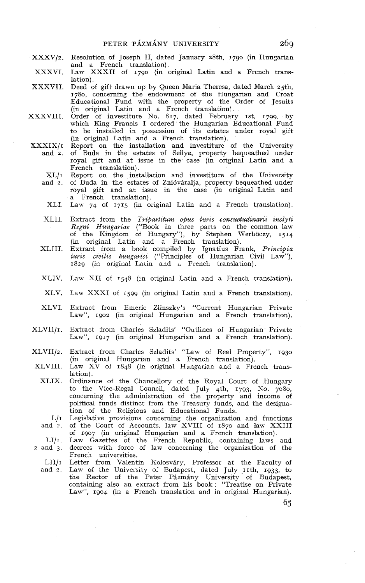- XXXVlz. Resolution of Joseph II, dated January 28th, 1790 (in Hungarian and a French translation).
- XXXVI. Law XXXII of 1790 (in original Latin and a French translation).
- XXXVII. Deed of gift drawn up hy Queen Maria Theresa, dated March 25th, 1780, concerning the endowment of the Hungarian and Croat Educational Fund with the property of the Order of Jesuits (in original Latin and a French translation).
- XXXVIII. Order of investiture No. 817, dated February 1st. 1799, by which King Francis 1 ordered the Hungarian Educational Fund to be installed in possession of its estates under royal gift (in original Latin and a French translation).
- $\frac{XXXIX}{I}$  Report on the installation and investiture of the University and 2. of Buda in the estates of Sellye, property bequeathed under of Buda in the estates of Sellye, property bequeathed under royal gift and at issue in the case (in original Latin and a French translation).
	- XL/I Report on the installation and investiture of the University and 2. of Buda in the estates of Zniováralja, property bequeathed under royal gift and at issue in the case (in original Latin and a French translation).
	- XLI. Law 74 of 1715 (in original Latin and a French translation).
	- XLII. Extract from the *Tripartitum opus iuris consustudinarii inclyti Regni Hungariae* ("Book in three parts on the common law of the Kingdom of Hungary"), by Stephen Werboczy, 1514 (in original Latin and a French translation).
	- XLIII. Extract from a book compiled by Ignatius Frank, *Principia iuris ciuilis hungarici* ("Principles of Hungarian Civil Law"), 1829 (in original Latin and a French translation).
	- XLIV. Law XII of 1548 (in original Latin and a French translation).
	- XLV. Law XXXI of 1599 (in original Latin and a French translation).
	- XLVI. Extract from Emeric Zlinszky's "Current Hungarian Private Law", 1902 (in original Hungarian and a French translation).
- XLVII/I. Extract from Charles Szladits' "Outlines of Hungarian Private Law", 1917 (in original Hungarian and a French translation).
- XLVII/2. Extract from Charles Szladits' "Law of Real Property", 1930 (in original Hungarian and a French translation).
- XLVIII. Law  $XV$  of  $1848$  (in original Hungarian and a French translation).
	- XLIX. Ordinance of the Chancellory of the Royal Court of Hungary to the Vice-Regal Council, dated July 4th, 1793, No. 7080, concerning the administration of the property and income of political funds distinct from the Treasury funds, and the designation of the Religious and Educational Funds.

Li1 and 2. Legislative provisions concerning the organization and functions of the Court of Accounts, law XVIII of 1870 and law XXIII of 1907 (in original Hungarian and a French translation).

- LI $/1$ ,<br>2 and 3. Law Gazettes of the French Republic, containing laws and decrees with force of law concerning the organization of the French universities.
	- $LI/I$ and 2. Letter from Valentin Kolosváry, Professor at the Faculty of Law of the University of Budapest, dated July 11th, 1933, to the Rector of the Peter Pázmány University of Budapest, containing also an extract from his book : "Treatise on Private Law", 1904 (in a French translation and in original Hungarian).
- 
- 
-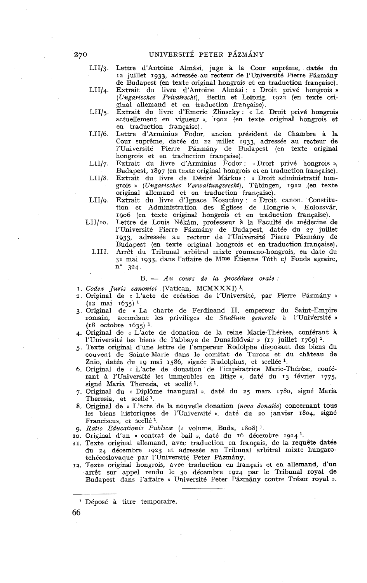LII/3. Lettre d'Antoine Almási, juge à la Cour suprême, datée du 12 juillet 1933, adressée au recteur de l'Université Pierre Pázmány de Budapest (en texte original hongrois et en traduction française).

LII/4. Extrait du livre d'Antoine Almási : « Droit privé hongrois » *(Ungarisches Privatrecht),* Berlin et Leipzig, 1922 (en texte original allemand et en traduction française).

LII/5. Extrait du livre d'Emeric Zlinszky : « Le Droit privé hongrois actuellement en vigueur **3,** 1902 (en texte original hongrois et en traduction française).

I,II/G. Lettre d'Arminius Fodor, ancien président de Chambre à la Cour suprême, datée du 22 juillet 1933, adressée au recteur de l'Université Pierre Pázmány de Budapest (en texte original hongrois et en traduction française).

LII/7. Extrait du livre d'Arminius Fodor : « Droit privé hongrois », Budapest, 1897 (en texte original hongrois et en traduction française).

LII/8. Extrait du livre de Désiré Márkus : « Droit administratif hongrois )) *(Ungarisches Verwaltungsrecht),* Tübingen, 1912 (en texte original allemand et en traduction francaise). LII/9. Extrait du livre d'Ignace Kosutány : « Droit canon. Constitu-

1906 (en texte original hongrois et en traduction française). LII/10. Lettre de Louis Nékám, professeur à la Faculté de médecine de l'Université Pierre Pázmány de Budapest, datée du 27 juillet 1933, adressée au recteur de l'Université Pierre Pázmány de

tion et Administration des Églises de Hongrie », Kolozsvár,

Budapest (en texte original hongrois et en traduction française!. LIII. arrêt du Tribunal arbitral mixte roumano-hongrois, en date du 31 mai 1933, dans l'affaire de Mme Étienne Tóth c/ Fonds agraire,  $\bar{n}^{\circ}$  324.

### *B.* - *Az6 cours de la procédure orale* :

I. *Codex Juris canonici* (Vatican, MCMXXXI) **l.** 

- 2. Original de « L'acte de création de l'Université, par Pierre Pázmány » (12 mai 1635) **l.**
- 3. Original de « La charte de Ferdinand II, empereur du Saint-Empire romain, accordant les privilèges de *Studium generale* à l'Université » (18 octobre 1635) **l.**
- 4. Original de « L'acte de donation de la reine Marie-Thérèse, conférant à l'Université les biens de l'abbaye de Dunaföldvár » (17 juillet 1769)<sup>1</sup>.
- 5. Texte original d'une lettre de l'empereur Rodolphe disposant des biens du couvent de Sainte-Marie dans le comitat de Turocz et du château de Znio, datée du 19 mai 1586, signée Rudolphus, et scellée <sup>1</sup>.
- 6. Original de « L'acte de donation de l'impératrice Marie-Thérèse, conférant à l'Université les immeubles en litige », daté du 13 février 1775, signé Maria Theresia, et sceilé **l.**
- 7. Original du **a** Diplôme inaugural **D.** daté du 25 mars 1780, signé Maria Theresia, et scellé **l.**
- 8. Original de « L'acte de la nouvelle donation *(noua donatio)* concernant tous les biens historiques de l'Université », daté du 20 janvier 1804, signé Franciscus, et scellé **l.**
- 9. Ratio Educationis Publica (1 volume, Buda, 1808) <sup>1</sup>.
- IO. Original d'un « contrat de bail », daté du 16 décembre 1914 **l.**
- II. Texte original allemand, avec traduction en français, de la requête datée du 24 décembre 1923 et adressée au Tribunal arbitral mixte hungarotchécoslovaque par l'Université Peter Pázmány.
- **13.** Texte original hongrois, avec traduction en français et en allemand, d'un arrêt sur appel rendu le 30 décembre 1924 par le Tribunal royal de Budapest dans l'affaire « Université Peter Pázmány contre Trésor royal ».

66

**<sup>1</sup>**Déposé à titre temporaire.